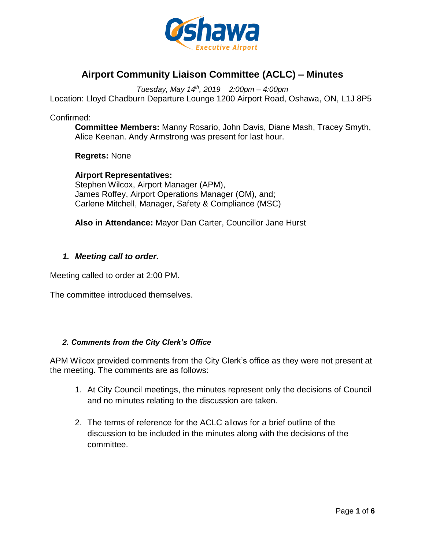

# **Airport Community Liaison Committee (ACLC) – Minutes**

*Tuesday, May 14th , 2019 2:00pm – 4:00pm*

Location: Lloyd Chadburn Departure Lounge 1200 Airport Road, Oshawa, ON, L1J 8P5

Confirmed:

**Committee Members:** Manny Rosario, John Davis, Diane Mash, Tracey Smyth, Alice Keenan. Andy Armstrong was present for last hour.

**Regrets:** None

**Airport Representatives:** Stephen Wilcox, Airport Manager (APM), James Roffey, Airport Operations Manager (OM), and; Carlene Mitchell, Manager, Safety & Compliance (MSC)

**Also in Attendance:** Mayor Dan Carter, Councillor Jane Hurst

### *1. Meeting call to order.*

Meeting called to order at 2:00 PM.

The committee introduced themselves.

### *2. Comments from the City Clerk's Office*

APM Wilcox provided comments from the City Clerk's office as they were not present at the meeting. The comments are as follows:

- 1. At City Council meetings, the minutes represent only the decisions of Council and no minutes relating to the discussion are taken.
- 2. The terms of reference for the ACLC allows for a brief outline of the discussion to be included in the minutes along with the decisions of the committee.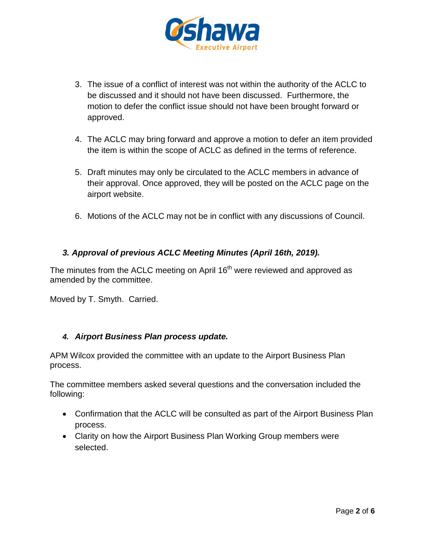

- 3. The issue of a conflict of interest was not within the authority of the ACLC to be discussed and it should not have been discussed. Furthermore, the motion to defer the conflict issue should not have been brought forward or approved.
- 4. The ACLC may bring forward and approve a motion to defer an item provided the item is within the scope of ACLC as defined in the terms of reference.
- 5. Draft minutes may only be circulated to the ACLC members in advance of their approval. Once approved, they will be posted on the ACLC page on the airport website.
- 6. Motions of the ACLC may not be in conflict with any discussions of Council.

# *3. Approval of previous ACLC Meeting Minutes (April 16th, 2019).*

The minutes from the ACLC meeting on April  $16<sup>th</sup>$  were reviewed and approved as amended by the committee.

Moved by T. Smyth. Carried.

# *4. Airport Business Plan process update.*

APM Wilcox provided the committee with an update to the Airport Business Plan process.

The committee members asked several questions and the conversation included the following:

- Confirmation that the ACLC will be consulted as part of the Airport Business Plan process.
- Clarity on how the Airport Business Plan Working Group members were selected.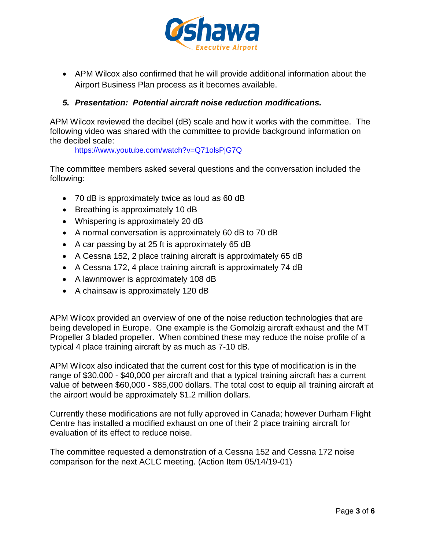

 APM Wilcox also confirmed that he will provide additional information about the Airport Business Plan process as it becomes available.

# *5. Presentation: Potential aircraft noise reduction modifications.*

APM Wilcox reviewed the decibel (dB) scale and how it works with the committee. The following video was shared with the committee to provide background information on the decibel scale:

<https://www.youtube.com/watch?v=Q71olsPjG7Q>

The committee members asked several questions and the conversation included the following:

- 70 dB is approximately twice as loud as 60 dB
- Breathing is approximately 10 dB
- Whispering is approximately 20 dB
- A normal conversation is approximately 60 dB to 70 dB
- A car passing by at 25 ft is approximately 65 dB
- A Cessna 152, 2 place training aircraft is approximately 65 dB
- A Cessna 172, 4 place training aircraft is approximately 74 dB
- A lawnmower is approximately 108 dB
- A chainsaw is approximately 120 dB

APM Wilcox provided an overview of one of the noise reduction technologies that are being developed in Europe. One example is the Gomolzig aircraft exhaust and the MT Propeller 3 bladed propeller. When combined these may reduce the noise profile of a typical 4 place training aircraft by as much as 7-10 dB.

APM Wilcox also indicated that the current cost for this type of modification is in the range of \$30,000 - \$40,000 per aircraft and that a typical training aircraft has a current value of between \$60,000 - \$85,000 dollars. The total cost to equip all training aircraft at the airport would be approximately \$1.2 million dollars.

Currently these modifications are not fully approved in Canada; however Durham Flight Centre has installed a modified exhaust on one of their 2 place training aircraft for evaluation of its effect to reduce noise.

The committee requested a demonstration of a Cessna 152 and Cessna 172 noise comparison for the next ACLC meeting. (Action Item 05/14/19-01)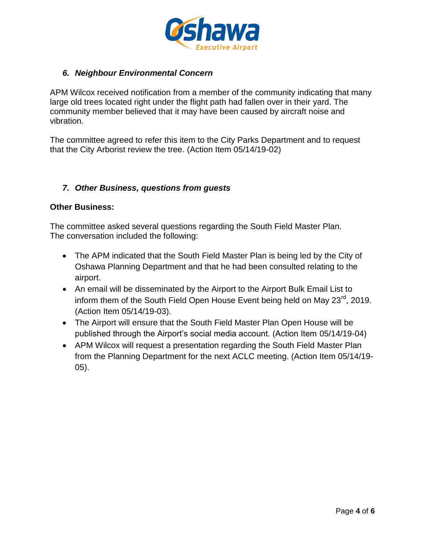

# *6. Neighbour Environmental Concern*

APM Wilcox received notification from a member of the community indicating that many large old trees located right under the flight path had fallen over in their yard. The community member believed that it may have been caused by aircraft noise and vibration.

The committee agreed to refer this item to the City Parks Department and to request that the City Arborist review the tree. (Action Item 05/14/19-02)

# *7. Other Business, questions from guests*

### **Other Business:**

The committee asked several questions regarding the South Field Master Plan. The conversation included the following:

- The APM indicated that the South Field Master Plan is being led by the City of Oshawa Planning Department and that he had been consulted relating to the airport.
- An email will be disseminated by the Airport to the Airport Bulk Email List to inform them of the South Field Open House Event being held on May 23<sup>rd</sup>, 2019. (Action Item 05/14/19-03).
- The Airport will ensure that the South Field Master Plan Open House will be published through the Airport's social media account. (Action Item 05/14/19-04)
- APM Wilcox will request a presentation regarding the South Field Master Plan from the Planning Department for the next ACLC meeting. (Action Item 05/14/19- 05).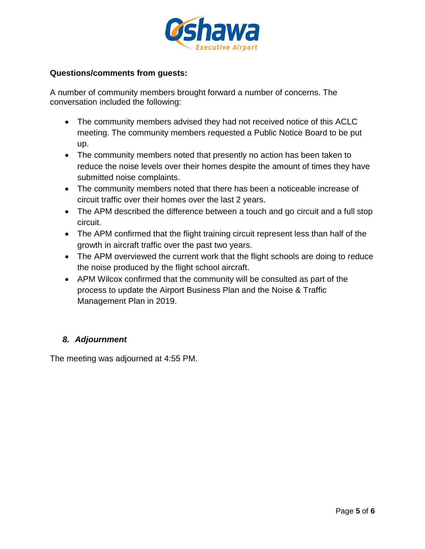

### **Questions/comments from guests:**

A number of community members brought forward a number of concerns. The conversation included the following:

- The community members advised they had not received notice of this ACLC meeting. The community members requested a Public Notice Board to be put up.
- The community members noted that presently no action has been taken to reduce the noise levels over their homes despite the amount of times they have submitted noise complaints.
- The community members noted that there has been a noticeable increase of circuit traffic over their homes over the last 2 years.
- The APM described the difference between a touch and go circuit and a full stop circuit.
- The APM confirmed that the flight training circuit represent less than half of the growth in aircraft traffic over the past two years.
- The APM overviewed the current work that the flight schools are doing to reduce the noise produced by the flight school aircraft.
- APM Wilcox confirmed that the community will be consulted as part of the process to update the Airport Business Plan and the Noise & Traffic Management Plan in 2019.

# *8. Adjournment*

The meeting was adjourned at 4:55 PM.